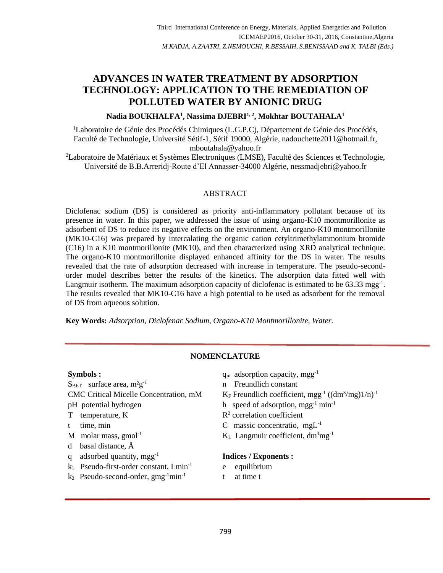# **ADVANCES IN WATER TREATMENT BY ADSORPTION TECHNOLOGY: APPLICATION TO THE REMEDIATION OF POLLUTED WATER BY ANIONIC DRUG**

# **Nadia BOUKHALFA<sup>1</sup> , Nassima DJEBRI1, 2 , Mokhtar BOUTAHALA<sup>1</sup>**

<sup>1</sup>Laboratoire de Génie des Procédés Chimiques (L.G.P.C), Département de Génie des Procédés, Faculté de Technologie, Université Sétif-1, Sétif 19000, Algérie[, nadouchette2011@hotmail.fr,](mailto:nadouchette2011@hotmail.fr) [mboutahala@yahoo.fr](mailto:mboutahala@yahoo.fr)

<sup>2</sup>Laboratoire de Matériaux et Systèmes Electroniques (LMSE), Faculté des Sciences et Technologie, Université de B.B.Arreridj-Route d'El Annasser-34000 Algérie, [nessmadjebri@yahoo.fr](mailto:nessmadjebri@yahoo.fr)

# ABSTRACT

Diclofenac sodium (DS) is considered as priority anti-inflammatory pollutant because of its presence in water. In this paper, we addressed the issue of using organo-K10 montmorillonite as adsorbent of DS to reduce its negative effects on the environment. An organo-K10 montmorillonite (MK10-C16) was prepared by intercalating the organic cation cetyltrimethylammonium bromide (C16) in a K10 montmorillonite (MK10), and then characterized using XRD analytical technique. The organo-K10 montmorillonite displayed enhanced affinity for the DS in water. The results revealed that the rate of adsorption decreased with increase in temperature. The pseudo-secondorder model describes better the results of the kinetics. The adsorption data fitted well with Langmuir isotherm. The maximum adsorption capacity of diclofenac is estimated to be 63.33 mgg<sup>-1</sup>. The results revealed that MK10-C16 have a high potential to be used as adsorbent for the removal of DS from aqueous solution.

**Key Words:** *Adsorption, Diclofenac Sodium, Organo-K10 Montmorillonite, Water.*

# **NOMENCLATURE**

 $S<sub>BET</sub>$  surface area,  $m^2g^{-1}$ CMC Critical Micelle Concentration, mM pH potential hydrogen h speed of adsorption, mgg<sup>-1</sup> min<sup>-1</sup> T temperature, K t time, min C massic concentratio, mgL<sup>-1</sup> M molar mass,  $gmol^{-1}$  K<sub>L</sub> Langmuir coefficient,  $dm^3mg^{-1}$ d basal distance, Å q adsorbed quantity, mgg-1 k1 Pseudo-first-order constant, Lmin-1  $k_2$  Pseudo-second-order,  $gmg^{-1}min^{-1}$ 

- **Symbols :**  $q_m$  adsorption capacity,  $mgg^{-1}$ 
	- n Freundlich constant
	- $^{-1}$  ((dm<sup>3</sup>/mg)1/n)<sup>-1</sup>
	-
	- <sup>2</sup> correlation coefficient
	-
	-

# **Indices / Exponents :**

- e equilibrium
- t at time t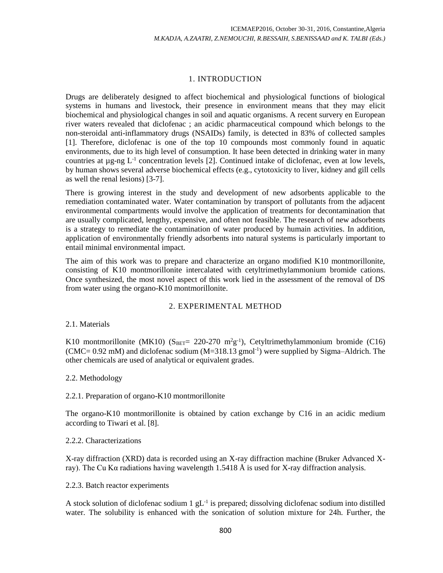# 1. INTRODUCTION

Drugs are deliberately designed to affect biochemical and physiological functions of biological systems in humans and livestock, their presence in environment means that they may elicit biochemical and physiological changes in soil and aquatic organisms. A recent survery en European river waters revealed that diclofenac ; an acidic pharmaceutical compound which belongs to the non-steroidal anti-inflammatory drugs (NSAIDs) family, is detected in 83% of collected samples [1]. Therefore, diclofenac is one of the top 10 compounds most commonly found in aquatic environments, due to its high level of consumption. It hase been detected in drinking water in many countries at  $\mu$ g-ng  $L^{-1}$  concentration levels [2]. Continued intake of diclofenac, even at low levels, by human shows several adverse biochemical effects (e.g., cytotoxicity to liver, kidney and gill cells as well the renal lesions) [3-7].

There is growing interest in the study and development of new adsorbents applicable to the remediation contaminated water. Water contamination by transport of pollutants from the adjacent environmental compartments would involve the application of treatments for decontamination that are usually complicated, lengthy, expensive, and often not feasible. The research of new adsorbents is a strategy to remediate the contamination of water produced by humain activities. In addition, application of environmentally friendly adsorbents into natural systems is particularly important to entail minimal environmental impact.

The aim of this work was to prepare and characterize an organo modified K10 montmorillonite, consisting of K10 montmorillonite intercalated with cetyltrimethylammonium bromide cations. Once synthesized, the most novel aspect of this work lied in the assessment of the removal of DS from water using the organo-K10 montmorillonite.

# 2. EXPERIMENTAL METHOD

# 2.1. Materials

K10 montmorillonite (MK10) ( $S_{BET}$ = 220-270 m<sup>2</sup>g<sup>-1</sup>), Cetyltrimethylammonium bromide (C16) (CMC= 0.92 mM) and diclofenac sodium (M=318.13 gmol<sup>-1</sup>) were supplied by Sigma-Aldrich. The other chemicals are used of analytical or equivalent grades.

# 2.2. Methodology

# 2.2.1. Preparation of organo-K10 montmorillonite

The organo-K10 montmorillonite is obtained by cation exchange by C16 in an acidic medium according to Tiwari et al. [8].

# 2.2.2. Characterizations

X-ray diffraction (XRD) data is recorded using an X-ray diffraction machine (Bruker Advanced Xray). The Cu K $\alpha$  radiations having wavelength 1.5418 Å is used for X-ray diffraction analysis.

# 2.2.3. Batch reactor experiments

A stock solution of diclofenac sodium  $1 \text{ g}L^{-1}$  is prepared; dissolving diclofenac sodium into distilled water. The solubility is enhanced with the sonication of solution mixture for 24h. Further, the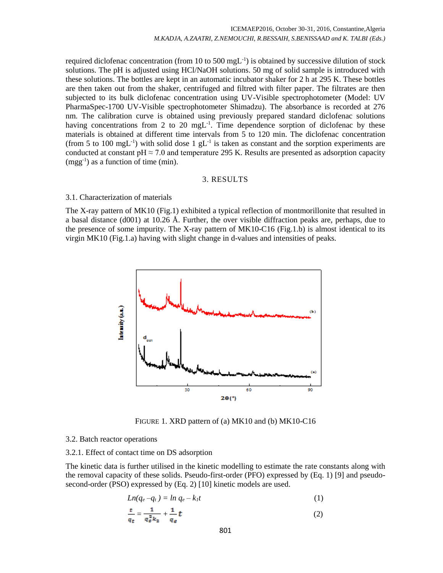required diclofenac concentration (from 10 to 500 mgL $^{-1}$ ) is obtained by successive dilution of stock solutions. The pH is adjusted using HCl/NaOH solutions. 50 mg of solid sample is introduced with these solutions. The bottles are kept in an automatic incubator shaker for 2 h at 295 K. These bottles are then taken out from the shaker, centrifuged and filtred with filter paper. The filtrates are then subjected to its bulk diclofenac concentration using UV-Visible spectrophotometer (Model: UV PharmaSpec-1700 UV-Visible spectrophotometer Shimadzu). The absorbance is recorded at 276 nm. The calibration curve is obtained using previously prepared standard diclofenac solutions having concentrations from 2 to 20 mgL<sup>-1</sup>. Time dependence sorption of diclofenac by these materials is obtained at different time intervals from 5 to 120 min. The diclofenac concentration (from 5 to 100 mgL<sup>-1</sup>) with solid dose 1 gL<sup>-1</sup> is taken as constant and the sorption experiments are conducted at constant pH  $\approx$  7.0 and temperature 295 K. Results are presented as adsorption capacity  $(mgg^{-1})$  as a function of time (min).

#### 3. RESULTS

#### 3.1. Characterization of materials

The X-ray pattern of MK10 (Fig.1) exhibited a typical reflection of montmorillonite that resulted in a basal distance (d001) at 10.26 Å. Further, the over visible diffraction peaks are, perhaps, due to the presence of some impurity. The X-ray pattern of MK10-C16 (Fig.1.b) is almost identical to its virgin MK10 (Fig.1.a) having with slight change in d-values and intensities of peaks.



FIGURE 1. XRD pattern of (a) MK10 and (b) MK10-C16

#### 3.2. Batch reactor operations

#### 3.2.1. Effect of contact time on DS adsorption

The kinetic data is further utilised in the kinetic modelling to estimate the rate constants along with the removal capacity of these solids. Pseudo-first-order (PFO) expressed by (Eq. 1) [9] and pseudosecond-order (PSO) expressed by (Eq. 2) [10] kinetic models are used.

$$
Ln(q_e - q_t) = ln q_e - k_l t \tag{1}
$$

$$
\frac{t}{q_t} = \frac{1}{q_e^2 k_2} + \frac{1}{q_e} t \tag{2}
$$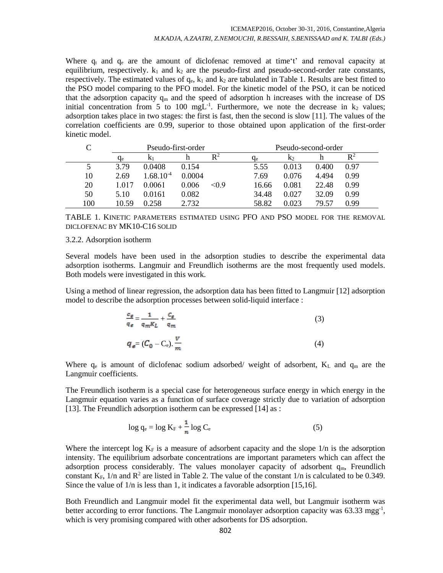Where  $q_t$  and  $q_e$  are the amount of diclofenac removed at time't' and removal capacity at equilibrium, respectively.  $k_1$  and  $k_2$  are the pseudo-first and pseudo-second-order rate constants, respectively. The estimated values of  $q_e$ ,  $k_1$  and  $k_2$  are tabulated in Table 1. Results are best fitted to the PSO model comparing to the PFO model. For the kinetic model of the PSO, it can be noticed that the adsorption capacity  $q_m$  and the speed of adsorption h increases with the increase of DS initial concentration from 5 to 100 mgL<sup>-1</sup>. Furthermore, we note the decrease in  $k_2$  values; adsorption takes place in two stages: the first is fast, then the second is slow [11]. The values of the correlation coefficients are 0.99, superior to those obtained upon application of the first-order kinetic model.

|     | Pseudo-first-order |                |        |                | Pseudo-second-order |                |       |                |
|-----|--------------------|----------------|--------|----------------|---------------------|----------------|-------|----------------|
|     | $q_e$              | K <sub>1</sub> |        | $\mathsf{R}^2$ | qе                  | K <sub>2</sub> |       | $\mathbb{R}^2$ |
|     | 3.79               | 0.0408         | 0.154  |                | 5.55                | 0.013          | 0.400 | 0.97           |
| 10  | 2.69               | $1.68.10^{-4}$ | 0.0004 |                | 7.69                | 0.076          | 4.494 | 0.99           |
| 20  | 1.017              | 0.0061         | 0.006  | < 0.9          | 16.66               | 0.081          | 22.48 | 0.99           |
| 50  | 5.10               | 0.0161         | 0.082  |                | 34.48               | 0.027          | 32.09 | 0.99           |
| 100 | 10.59              | 0.258          | 2.732  |                | 58.82               | 0.023          | 79.57 | 0.99           |

TABLE 1. KINETIC PARAMETERS ESTIMATED USING PFO AND PSO MODEL FOR THE REMOVAL DICLOFENAC BY MK10-C16 SOLID

#### 3.2.2. Adsorption isotherm

Several models have been used in the adsorption studies to describe the experimental data adsorption isotherms. Langmuir and Freundlich isotherms are the most frequently used models. Both models were investigated in this work.

Using a method of linear regression, the adsorption data has been fitted to Langmuir [12] adsorption model to describe the adsorption processes between solid-liquid interface :

$$
\frac{c_{\varepsilon}}{q_{\varepsilon}} = \frac{1}{q_m K_L} + \frac{c_{\varepsilon}}{q_m} \tag{3}
$$
\n
$$
q_{\varepsilon} = (C_0 - C_{\varepsilon}). \frac{V}{m} \tag{4}
$$

Where 
$$
q_e
$$
 is amount of dichdenac sodium adsorbed/ weight of adsorbent,  $K_L$  and  $q_m$  are the Langmuir coefficients.

The Freundlich isotherm is a special case for heterogeneous surface energy in which energy in the Langmuir equation varies as a function of surface coverage strictly due to variation of adsorption [13]. The Freundlich adsorption isotherm can be expressed [14] as :

$$
\log q_e = \log K_F + \frac{1}{n} \log C_e \tag{5}
$$

Where the intercept log  $K_F$  is a measure of adsorbent capacity and the slope 1/n is the adsorption intensity. The equilibrium adsorbate concentrations are important parameters which can affect the adsorption process considerably. The values monolayer capacity of adsorbent  $q_m$ , Freundlich constant  $K_F$ ,  $1/n$  and  $R^2$  are listed in Table 2. The value of the constant  $1/n$  is calculated to be 0.349. Since the value of 1/n is less than 1, it indicates a favorable adsorption [15,16].

Both Freundlich and Langmuir model fit the experimental data well, but Langmuir isotherm was better according to error functions. The Langmuir monolayer adsorption capacity was 63.33 mgg<sup>-1</sup>, which is very promising compared with other adsorbents for DS adsorption.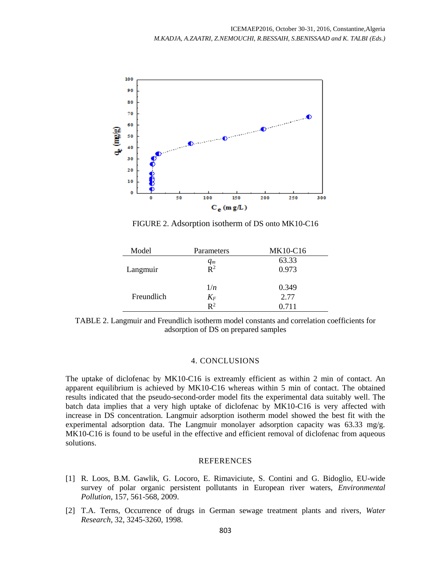

FIGURE 2. Adsorption isotherm of DS onto MK10-C16

| Model      | Parameters        | MK10-C16 |
|------------|-------------------|----------|
|            |                   | 63.33    |
| Langmuir   | $\frac{q_m}{R^2}$ | 0.973    |
|            | 1/n               | 0.349    |
| Freundlich | $K_{F}$           | 2.77     |
|            | $R^2$             | 0.711    |

TABLE 2. Langmuir and Freundlich isotherm model constants and correlation coefficients for adsorption of DS on prepared samples

#### 4. CONCLUSIONS

The uptake of diclofenac by MK10-C16 is extreamly efficient as within 2 min of contact. An apparent equilibrium is achieved by MK10-C16 whereas within 5 min of contact. The obtained results indicated that the pseudo-second-order model fits the experimental data suitably well. The batch data implies that a very high uptake of diclofenac by MK10-C16 is very affected with increase in DS concentration. Langmuir adsorption isotherm model showed the best fit with the experimental adsorption data. The Langmuir monolayer adsorption capacity was 63.33 mg/g. MK10-C16 is found to be useful in the effective and efficient removal of diclofenac from aqueous solutions.

#### REFERENCES

- [1] R. Loos, B.M. Gawlik, G. Locoro, E. Rimaviciute, S. Contini and G. Bidoglio, EU-wide survey of polar organic persistent pollutants in European river waters, *Environmental Pollution*, 157, 561-568, 2009.
- [2] T.A. Terns, Occurrence of drugs in German sewage treatment plants and rivers, *Water Research*, 32, 3245-3260, 1998.